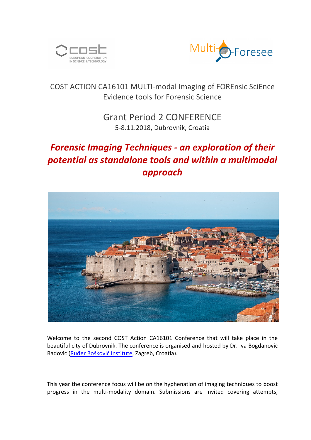



### COST ACTION CA16101 MULTI-modal Imaging of FOREnsic SciEnce Evidence tools for Forensic Science

## Grant Period 2 CONFERENCE 5-8.11.2018, Dubrovnik, Croatia

# **Forensic Imaging Techniques - an exploration of their** potential as standalone tools and within a multimodal *approach*



Welcome to the second COST Action CA16101 Conference that will take place in the beautiful city of Dubrovnik. The conference is organised and hosted by Dr. Iva Bogdanović Radović (Ruđer Bošković Institute, Zagreb, Croatia).

This year the conference focus will be on the hyphenation of imaging techniques to boost progress in the multi-modality domain. Submissions are invited covering attempts,